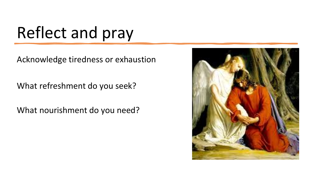### Reflect and pray

Acknowledge tiredness or exhaustion

What refreshment do you seek?

What nourishment do you need?

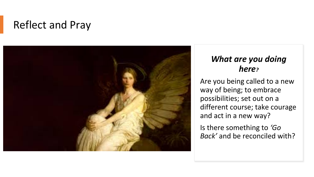### Reflect and Pray



#### *What are you doing here?*

Are you being called to a new way of being; to embrace possibilities; set out on a different course; take courage and act in a new way?

Is there something to *'Go Back'* and be reconciled with?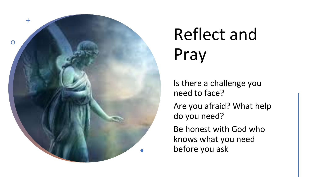

# Reflect and Pray

Is there a challenge you need to face?

Are you afraid? What help do you need?

Be honest with God who knows what you need before you ask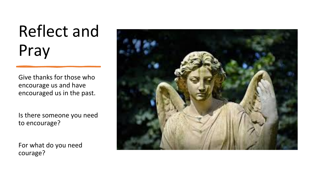## Reflect and Pray

Give thanks for those who encourage us and have encouraged us in the past.

Is there someone you need to encourage?

For what do you need courage?